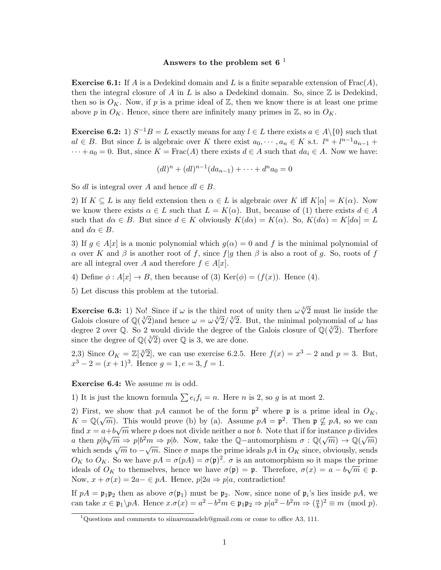## Answers to the problem set 6<sup> $1$ </sup>

**Exercise 6.1:** If A is a Dedekind domain and L is a finite separable extension of  $\text{Frac}(A)$ , then the integral closure of A in L is also a Dedekind domain. So, since  $\mathbb Z$  is Dedekind, then so is  $O_K$ . Now, if p is a prime ideal of Z, then we know there is at least one prime above p in  $O_K$ . Hence, since there are infinitely many primes in  $\mathbb{Z}$ , so in  $O_K$ .

**Exercise 6.2:** 1)  $S^{-1}B = L$  exactly means for any  $l \in L$  there exists  $a \in A \setminus \{0\}$  such that  $al \in B$ . But since L is algebraic over K there exist  $a_0, \dots, a_n \in K$  s.t.  $l^n + l^{n-1}a_{n-1}$  +  $\cdots + a_0 = 0$ . But, since  $K = \text{Frac}(A)$  there exists  $d \in A$  such that  $da_i \in A$ . Now we have:

$$
(dl)^n + (dl)^{n-1}(da_{n-1}) + \cdots + d^n a_0 = 0
$$

So dl is integral over A and hence  $dl \in B$ .

2) If  $K \subseteq L$  is any field extension then  $\alpha \in L$  is algebraic over K iff  $K[\alpha] = K(\alpha)$ . Now we know there exists  $\alpha \in L$  such that  $L = K(\alpha)$ . But, because of (1) there exists  $d \in A$ such that  $d\alpha \in B$ . But since  $d \in K$  obviously  $K(d\alpha) = K(\alpha)$ . So,  $K(d\alpha) = K[d\alpha] = L$ and  $d\alpha \in B$ .

3) If  $g \in A[x]$  is a monic polynomial which  $g(\alpha) = 0$  and f is the minimal polynomial of α over K and β is another root of f, since  $f|g$  then β is also a root of g. So, roots of f are all integral over A and therefore  $f \in A[x]$ .

4) Define  $\phi: A[x] \to B$ , then because of (3) Ker( $\phi$ ) = ( $f(x)$ ). Hence (4).

5) Let discuss this problem at the tutorial.

**Exercise 6.3:** 1) No! Since if  $\omega$  is the third root of unity then  $\omega \sqrt[3]{2}$  must lie inside the **EXETCISE 6.3:** 1) NO! Since if  $\omega$  is the third root of unity then  $\omega \sqrt{2}$  must be inside the Galois closure of  $\mathbb{Q}(\sqrt[3]{2})$  and hence  $\omega = \omega \sqrt[3]{2}/\sqrt[3]{2}$ . But, the minimal polynomial of  $\omega$  has degree 2 over  $\$ degree 2 over Q. So 2 would divide the degree of the Galois closure of  $\mathbb{Q}(\sqrt[3]{2})$ . Therfore since the degree of  $\mathbb{Q}(\sqrt[3]{2})$  over  $\mathbb{Q}$  is 3, we are done.

2,3) Since  $O_K = \mathbb{Z}[\sqrt[3]{2}]$ , we can use exercise 6.2.5. Here  $f(x) = x^3 - 2$  and  $p = 3$ . But,  $x^3 - 2 = (x+1)^3$ . Hence  $g = 1, e = 3, f = 1$ .

Exercise 6.4: We assume m is odd.

1) It is just the known formula  $\sum e_i f_i = n$ . Here *n* is 2, so *g* is at most 2.

2) First, we show that pA cannot be of the form  $p^2$  where p is a prime ideal in  $O_K$ ,  $K = \mathbb{Q}(\sqrt{m})$ . This would prove (b) by (a). Assume  $pA = \mathfrak{p}^2$ . Then  $\mathfrak{p} \nsubseteq pA$ , so we can find  $x = a + b\sqrt{m}$  where p does not divide neither a nor b. Note that if for instance p divides a then  $p|b\sqrt{m} \Rightarrow p|b^2m \Rightarrow p|b$ . Now, take the Q-automorphism  $\sigma : \mathbb{Q}(\sqrt{m}) \to \mathbb{Q}(\sqrt{m})$ which sends  $\sqrt{m}$  to  $-\sqrt{m}$ . Since  $\sigma$  maps the prime ideals pA in  $O_K$  since, obviously, sends which sends  $\sqrt{m}$  to  $-\sqrt{m}$ . Since  $\sigma$  maps the prime ideals pA in  $O_K$  since, obviously, sends  $O_K$  to  $O_K$ . So we have  $pA = \sigma(pA) = \sigma(p)^2$ .  $\sigma$  is an automorphism so it maps the prime ideals of  $O_K$  to themselves, hence we have  $\sigma(\mathfrak{p}) = \mathfrak{p}$ . Therefore,  $\sigma(x) = a - b\sqrt{m} \in \mathfrak{p}$ . Now,  $x + \sigma(x) = 2a - \epsilon pA$ . Hence,  $p|2a \Rightarrow p|a$ , contradiction!

If  $pA = \mathfrak{p}_1 \mathfrak{p}_2$  then as above  $\sigma(\mathfrak{p}_1)$  must be  $\mathfrak{p}_2$ . Now, since none of  $\mathfrak{p}_i$ 's lies inside  $pA$ , we can take  $x \in \mathfrak{p}_1 \backslash pA$ . Hence  $x.\sigma(x) = a^2 - b^2m \in \mathfrak{p}_1 \mathfrak{p}_2 \Rightarrow p|a^2 - b^2m \Rightarrow (\frac{a}{b})^2$  $\frac{a}{b}$ )<sup>2</sup>  $\equiv m \pmod{p}$ .

 $1$ Questions and comments to siinarezazadeh@gmail.com or come to office A3, 111.